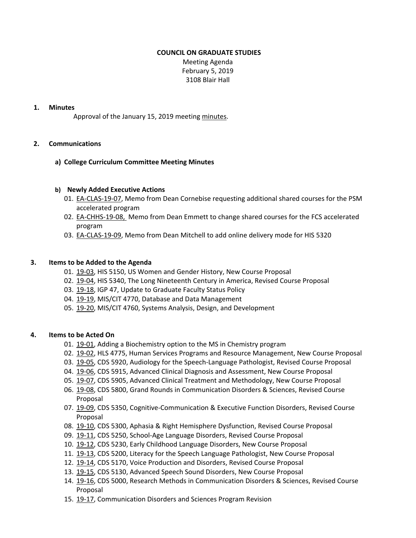# **COUNCIL ON GRADUATE STUDIES**

Meeting Agenda February 5, 2019 3108 Blair Hall

### **1. Minutes**

Approval of the January 15, 2019 meeting [min](http://castle.eiu.edu/eiucgs/currentminutes/Minutes1-15-19.pdf)utes.

# **2. Communications**

# **a) College Curriculum Committee Meeting Minutes**

# **b) Newly Added Executive Actions**

- 01. EA‐[CLAS](http://castle.eiu.edu/eiucgs/exec-actions/EA-CLAS-19-07.pdf)‐19‐07, Memo from Dean Cornebise requesting additional shared courses for the PSM accelerated program
- 02. EA‐[CHHS](http://castle.eiu.edu/eiucgs/exec-actions/EA-CHHS-19-08.pdf)‐19‐08, Memo from Dean Emmett to change shared courses for the FCS accelerated program
- 03. EA‐[CLAS](http://castle.eiu.edu/eiucgs/exec-actions/EA-CLAS-19-09.pdf)‐19‐09, Memo from Dean Mitchell to add online delivery mode for HIS 5320

#### **3. Items to be Added to the Agenda**

- 01. 19-[03](http://castle.eiu.edu/eiucgs/currentagendaitems/agenda19-03.pdf), HIS 5150, US Women and Gender History, New Course Proposal
- 02. 19‐[04,](http://castle.eiu.edu/eiucgs/currentagendaitems/agenda19-04.pdf) HIS 5340, The Long Nineteenth Century in America, Revised Course Proposal
- 03. 19‐[18,](http://castle.eiu.edu/eiucgs/currentagendaitems/agenda19-18.pdf) IGP 47, Update to Graduate Faculty Status Policy
- 04. [19](http://castle.eiu.edu/eiucgs/currentagendaitems/agenda19-19.pdf)-19, MIS/CIT 4770, Database and Data Management
- 05. 19-[20,](http://castle.eiu.edu/eiucgs/currentagendaitems/agenda19-20.pdf) MIS/CIT 4760, Systems Analysis, Design, and Development

#### **4. Items to be Acted On**

- 01. [19](http://castle.eiu.edu/eiucgs/currentagendaitems/agenda19-01.pdf)-01, Adding a Biochemistry option to the MS in Chemistry program
- 02. [19](http://castle.eiu.edu/eiucgs/currentagendaitems/agenda19-02.pdf)‐02, HLS 4775, Human Services Programs and Resource Management, New Course Proposal
- 03. 19-[05](http://castle.eiu.edu/eiucgs/currentagendaitems/agenda19-05.pdf), CDS 5920, Audiology for the Speech-Language Pathologist, Revised Course Proposal
- 04. 19-[06,](http://castle.eiu.edu/eiucgs/currentagendaitems/agenda19-06.pdf) CDS 5915, Advanced Clinical Diagnosis and Assessment, New Course Proposal
- 05. [19](http://castle.eiu.edu/eiucgs/currentagendaitems/agenda19-07.pdf)-07, CDS 5905, Advanced Clinical Treatment and Methodology, New Course Proposal
- 06. [19](http://castle.eiu.edu/eiucgs/currentagendaitems/agenda19-08.pdf)‐08, CDS 5800, Grand Rounds in Communication Disorders & Sciences, Revised Course Proposal
- 07. 19-[09,](http://castle.eiu.edu/eiucgs/currentagendaitems/agenda19-09.pdf) CDS 5350, Cognitive-Communication & Executive Function Disorders, Revised Course Proposal
- 08. 19‐[10,](http://castle.eiu.edu/eiucgs/currentagendaitems/agenda19-10.pdf) CDS 5300, Aphasia & Right Hemisphere Dysfunction, Revised Course Proposal
- 09. [19](http://castle.eiu.edu/eiucgs/currentagendaitems/agenda19-11.pdf)‐11, CDS 5250, School‐Age Language Disorders, Revised Course Proposal
- 10. [19](http://castle.eiu.edu/eiucgs/currentagendaitems/agenda19-12.pdf)-12, CDS 5230, Early Childhood Language Disorders, New Course Proposal
- 11. 19‐[13,](http://castle.eiu.edu/eiucgs/currentagendaitems/agenda19-13.pdf) CDS 5200, Literacy for the Speech Language Pathologist, New Course Proposal
- 12. 19-[14,](http://castle.eiu.edu/eiucgs/currentagendaitems/agenda19-14.pdf) CDS 5170, Voice Production and Disorders, Revised Course Proposal
- 13. 19‐[15,](http://castle.eiu.edu/eiucgs/currentagendaitems/agenda19-15.pdf) CDS 5130, Advanced Speech Sound Disorders, New Course Proposal
- 14. [19](http://castle.eiu.edu/eiucgs/currentagendaitems/agenda19-16.pdf)-16, CDS 5000, Research Methods in Communication Disorders & Sciences, Revised Course Proposal
- 15. 19‐[17,](http://castle.eiu.edu/eiucgs/currentagendaitems/agenda19-17.pdf) Communication Disorders and Sciences Program Revision